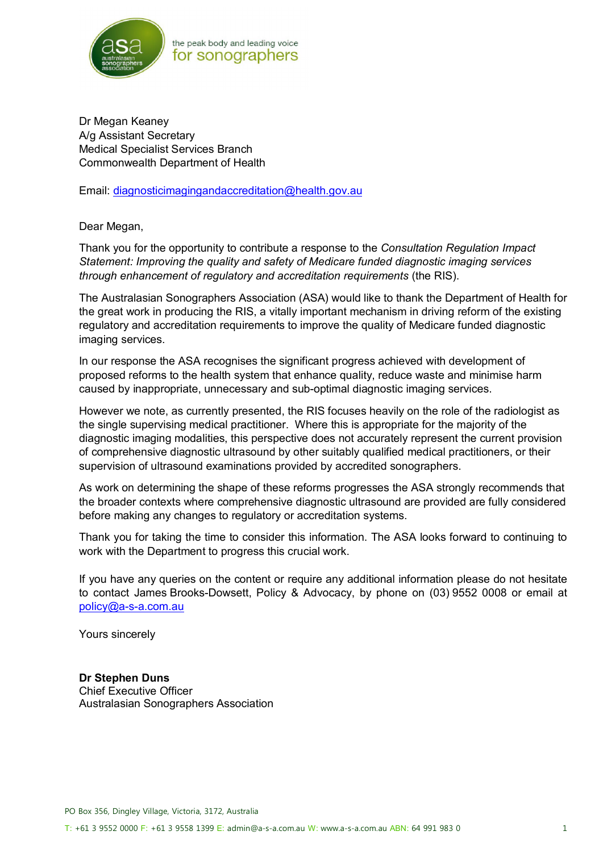

Dr Megan Keaney A/g Assistant Secretary Medical Specialist Services Branch Commonwealth Department of Health

Email: diagnosticimagingandaccreditation@health.gov.au

Dear Megan,

Thank you for the opportunity to contribute a response to the *Consultation Regulation Impact Statement: Improving the quality and safety of Medicare funded diagnostic imaging services through enhancement of regulatory and accreditation requirements* (the RIS).

The Australasian Sonographers Association (ASA) would like to thank the Department of Health for the great work in producing the RIS, a vitally important mechanism in driving reform of the existing regulatory and accreditation requirements to improve the quality of Medicare funded diagnostic imaging services.

In our response the ASA recognises the significant progress achieved with development of proposed reforms to the health system that enhance quality, reduce waste and minimise harm caused by inappropriate, unnecessary and sub-optimal diagnostic imaging services.

However we note, as currently presented, the RIS focuses heavily on the role of the radiologist as the single supervising medical practitioner. Where this is appropriate for the majority of the diagnostic imaging modalities, this perspective does not accurately represent the current provision of comprehensive diagnostic ultrasound by other suitably qualified medical practitioners, or their supervision of ultrasound examinations provided by accredited sonographers.

As work on determining the shape of these reforms progresses the ASA strongly recommends that the broader contexts where comprehensive diagnostic ultrasound are provided are fully considered before making any changes to regulatory or accreditation systems.

Thank you for taking the time to consider this information. The ASA looks forward to continuing to work with the Department to progress this crucial work.

If you have any queries on the content or require any additional information please do not hesitate to contact James Brooks-Dowsett, Policy & Advocacy, by phone on (03) 9552 0008 or email at policy@a-s-a.com.au

Yours sincerely

**Dr Stephen Duns**  Chief Executive Officer Australasian Sonographers Association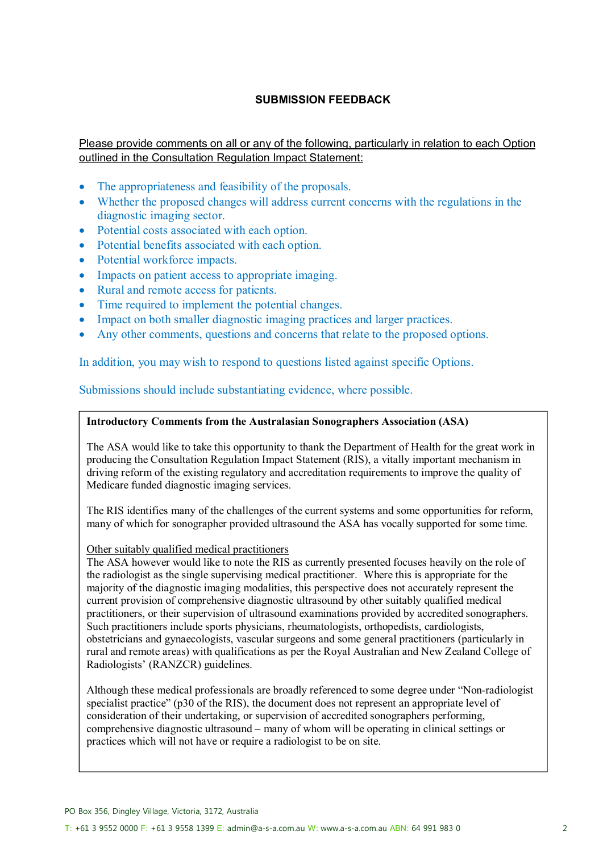## **SUBMISSION FEEDBACK**

Please provide comments on all or any of the following, particularly in relation to each Option outlined in the Consultation Regulation Impact Statement:

- The appropriateness and feasibility of the proposals.
- Whether the proposed changes will address current concerns with the regulations in the diagnostic imaging sector.
- Potential costs associated with each option.
- Potential benefits associated with each option.
- Potential workforce impacts.
- Impacts on patient access to appropriate imaging.
- Rural and remote access for patients.
- Time required to implement the potential changes.
- Impact on both smaller diagnostic imaging practices and larger practices.
- Any other comments, questions and concerns that relate to the proposed options.

In addition, you may wish to respond to questions listed against specific Options.

Submissions should include substantiating evidence, where possible.

#### **Introductory Comments from the Australasian Sonographers Association (ASA)**

The ASA would like to take this opportunity to thank the Department of Health for the great work in producing the Consultation Regulation Impact Statement (RIS), a vitally important mechanism in driving reform of the existing regulatory and accreditation requirements to improve the quality of Medicare funded diagnostic imaging services.

The RIS identifies many of the challenges of the current systems and some opportunities for reform, many of which for sonographer provided ultrasound the ASA has vocally supported for some time.

#### Other suitably qualified medical practitioners

The ASA however would like to note the RIS as currently presented focuses heavily on the role of the radiologist as the single supervising medical practitioner. Where this is appropriate for the majority of the diagnostic imaging modalities, this perspective does not accurately represent the current provision of comprehensive diagnostic ultrasound by other suitably qualified medical practitioners, or their supervision of ultrasound examinations provided by accredited sonographers. Such practitioners include sports physicians, rheumatologists, orthopedists, cardiologists, obstetricians and gynaecologists, vascular surgeons and some general practitioners (particularly in rural and remote areas) with qualifications as per the Royal Australian and New Zealand College of Radiologists' (RANZCR) guidelines.

Although these medical professionals are broadly referenced to some degree under "Non-radiologist specialist practice" (p30 of the RIS), the document does not represent an appropriate level of consideration of their undertaking, or supervision of accredited sonographers performing, comprehensive diagnostic ultrasound – many of whom will be operating in clinical settings or practices which will not have or require a radiologist to be on site.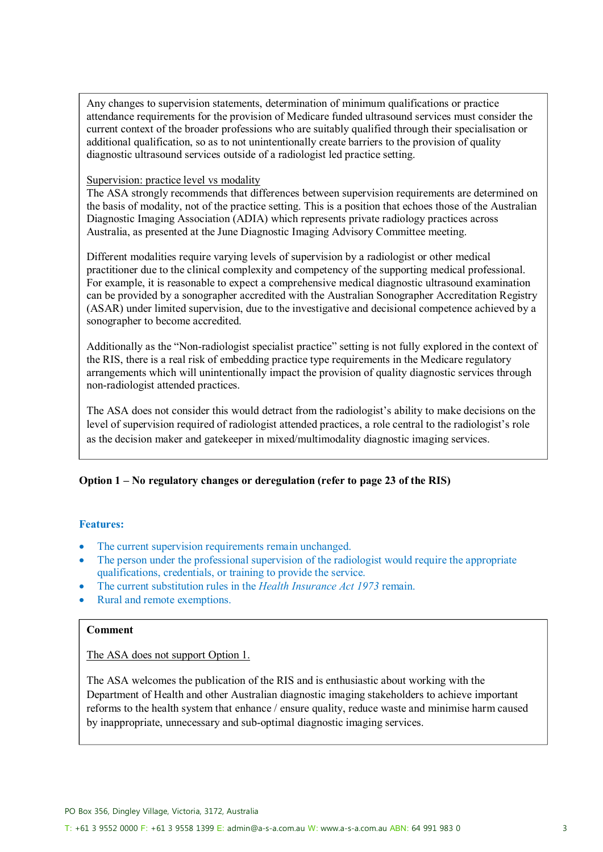Any changes to supervision statements, determination of minimum qualifications or practice attendance requirements for the provision of Medicare funded ultrasound services must consider the current context of the broader professions who are suitably qualified through their specialisation or additional qualification, so as to not unintentionally create barriers to the provision of quality diagnostic ultrasound services outside of a radiologist led practice setting.

#### Supervision: practice level vs modality

The ASA strongly recommends that differences between supervision requirements are determined on the basis of modality, not of the practice setting. This is a position that echoes those of the Australian Diagnostic Imaging Association (ADIA) which represents private radiology practices across Australia, as presented at the June Diagnostic Imaging Advisory Committee meeting.

Different modalities require varying levels of supervision by a radiologist or other medical practitioner due to the clinical complexity and competency of the supporting medical professional. For example, it is reasonable to expect a comprehensive medical diagnostic ultrasound examination can be provided by a sonographer accredited with the Australian Sonographer Accreditation Registry (ASAR) under limited supervision, due to the investigative and decisional competence achieved by a sonographer to become accredited.

Additionally as the "Non-radiologist specialist practice" setting is not fully explored in the context of the RIS, there is a real risk of embedding practice type requirements in the Medicare regulatory arrangements which will unintentionally impact the provision of quality diagnostic services through non-radiologist attended practices.

The ASA does not consider this would detract from the radiologist's ability to make decisions on the level of supervision required of radiologist attended practices, a role central to the radiologist's role as the decision maker and gatekeeper in mixed/multimodality diagnostic imaging services.

# **Option 1 – No regulatory changes or deregulation (refer to page 23 of the RIS)**

## **Features:**

- The current supervision requirements remain unchanged.
- The person under the professional supervision of the radiologist would require the appropriate qualifications, credentials, or training to provide the service.
- The current substitution rules in the *Health Insurance Act 1973* remain.
- Rural and remote exemptions.

#### **Comment**

The ASA does not support Option 1.

The ASA welcomes the publication of the RIS and is enthusiastic about working with the Department of Health and other Australian diagnostic imaging stakeholders to achieve important reforms to the health system that enhance / ensure quality, reduce waste and minimise harm caused by inappropriate, unnecessary and sub-optimal diagnostic imaging services.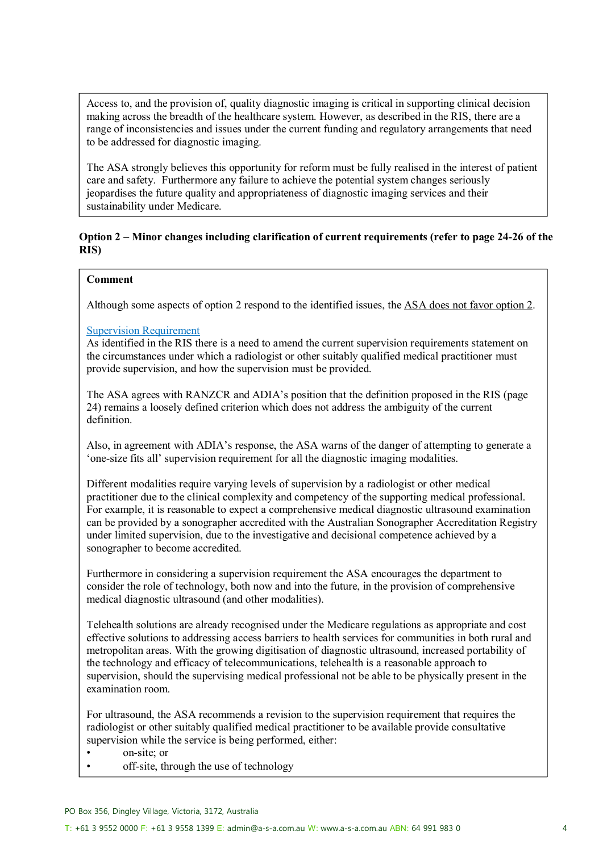Access to, and the provision of, quality diagnostic imaging is critical in supporting clinical decision making across the breadth of the healthcare system. However, as described in the RIS, there are a range of inconsistencies and issues under the current funding and regulatory arrangements that need to be addressed for diagnostic imaging.

The ASA strongly believes this opportunity for reform must be fully realised in the interest of patient care and safety. Furthermore any failure to achieve the potential system changes seriously jeopardises the future quality and appropriateness of diagnostic imaging services and their sustainability under Medicare.

## **Option 2 – Minor changes including clarification of current requirements (refer to page 24-26 of the RIS)**

## **Comment**

Although some aspects of option 2 respond to the identified issues, the ASA does not favor option 2.

## Supervision Requirement

As identified in the RIS there is a need to amend the current supervision requirements statement on the circumstances under which a radiologist or other suitably qualified medical practitioner must provide supervision, and how the supervision must be provided.

The ASA agrees with RANZCR and ADIA's position that the definition proposed in the RIS (page 24) remains a loosely defined criterion which does not address the ambiguity of the current definition.

Also, in agreement with ADIA's response, the ASA warns of the danger of attempting to generate a 'one-size fits all' supervision requirement for all the diagnostic imaging modalities.

Different modalities require varying levels of supervision by a radiologist or other medical practitioner due to the clinical complexity and competency of the supporting medical professional. For example, it is reasonable to expect a comprehensive medical diagnostic ultrasound examination can be provided by a sonographer accredited with the Australian Sonographer Accreditation Registry under limited supervision, due to the investigative and decisional competence achieved by a sonographer to become accredited.

Furthermore in considering a supervision requirement the ASA encourages the department to consider the role of technology, both now and into the future, in the provision of comprehensive medical diagnostic ultrasound (and other modalities).

Telehealth solutions are already recognised under the Medicare regulations as appropriate and cost effective solutions to addressing access barriers to health services for communities in both rural and metropolitan areas. With the growing digitisation of diagnostic ultrasound, increased portability of the technology and efficacy of telecommunications, telehealth is a reasonable approach to supervision, should the supervising medical professional not be able to be physically present in the examination room.

For ultrasound, the ASA recommends a revision to the supervision requirement that requires the radiologist or other suitably qualified medical practitioner to be available provide consultative supervision while the service is being performed, either:

- on-site; or
- off-site, through the use of technology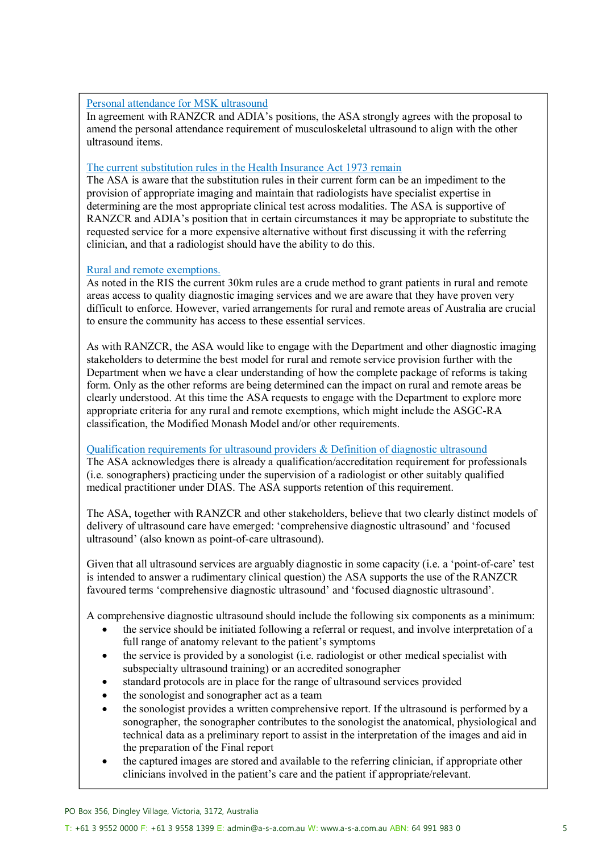### Personal attendance for MSK ultrasound

In agreement with RANZCR and ADIA's positions, the ASA strongly agrees with the proposal to amend the personal attendance requirement of musculoskeletal ultrasound to align with the other ultrasound items.

#### The current substitution rules in the Health Insurance Act 1973 remain

The ASA is aware that the substitution rules in their current form can be an impediment to the provision of appropriate imaging and maintain that radiologists have specialist expertise in determining are the most appropriate clinical test across modalities. The ASA is supportive of RANZCR and ADIA's position that in certain circumstances it may be appropriate to substitute the requested service for a more expensive alternative without first discussing it with the referring clinician, and that a radiologist should have the ability to do this.

### Rural and remote exemptions.

As noted in the RIS the current 30km rules are a crude method to grant patients in rural and remote areas access to quality diagnostic imaging services and we are aware that they have proven very difficult to enforce. However, varied arrangements for rural and remote areas of Australia are crucial to ensure the community has access to these essential services.

As with RANZCR, the ASA would like to engage with the Department and other diagnostic imaging stakeholders to determine the best model for rural and remote service provision further with the Department when we have a clear understanding of how the complete package of reforms is taking form. Only as the other reforms are being determined can the impact on rural and remote areas be clearly understood. At this time the ASA requests to engage with the Department to explore more appropriate criteria for any rural and remote exemptions, which might include the ASGC-RA classification, the Modified Monash Model and/or other requirements.

#### Qualification requirements for ultrasound providers & Definition of diagnostic ultrasound

The ASA acknowledges there is already a qualification/accreditation requirement for professionals (i.e. sonographers) practicing under the supervision of a radiologist or other suitably qualified medical practitioner under DIAS. The ASA supports retention of this requirement.

The ASA, together with RANZCR and other stakeholders, believe that two clearly distinct models of delivery of ultrasound care have emerged: 'comprehensive diagnostic ultrasound' and 'focused ultrasound' (also known as point-of-care ultrasound).

Given that all ultrasound services are arguably diagnostic in some capacity (i.e. a 'point-of-care' test is intended to answer a rudimentary clinical question) the ASA supports the use of the RANZCR favoured terms 'comprehensive diagnostic ultrasound' and 'focused diagnostic ultrasound'.

A comprehensive diagnostic ultrasound should include the following six components as a minimum:

- the service should be initiated following a referral or request, and involve interpretation of a full range of anatomy relevant to the patient's symptoms
- the service is provided by a sonologist (i.e. radiologist or other medical specialist with subspecialty ultrasound training) or an accredited sonographer
- standard protocols are in place for the range of ultrasound services provided
- the sonologist and sonographer act as a team
- the sonologist provides a written comprehensive report. If the ultrasound is performed by a sonographer, the sonographer contributes to the sonologist the anatomical, physiological and technical data as a preliminary report to assist in the interpretation of the images and aid in the preparation of the Final report
- the captured images are stored and available to the referring clinician, if appropriate other clinicians involved in the patient's care and the patient if appropriate/relevant.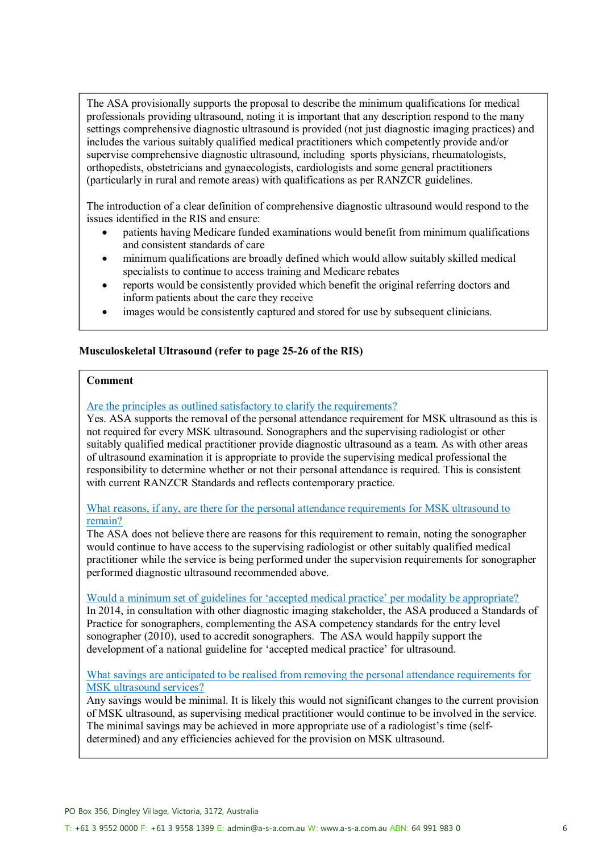The ASA provisionally supports the proposal to describe the minimum qualifications for medical professionals providing ultrasound, noting it is important that any description respond to the many settings comprehensive diagnostic ultrasound is provided (not just diagnostic imaging practices) and includes the various suitably qualified medical practitioners which competently provide and/or supervise comprehensive diagnostic ultrasound, including sports physicians, rheumatologists, orthopedists, obstetricians and gynaecologists, cardiologists and some general practitioners (particularly in rural and remote areas) with qualifications as per RANZCR guidelines.

The introduction of a clear definition of comprehensive diagnostic ultrasound would respond to the issues identified in the RIS and ensure:

- patients having Medicare funded examinations would benefit from minimum qualifications and consistent standards of care
- minimum qualifications are broadly defined which would allow suitably skilled medical specialists to continue to access training and Medicare rebates
- reports would be consistently provided which benefit the original referring doctors and inform patients about the care they receive
- images would be consistently captured and stored for use by subsequent clinicians.

### **Musculoskeletal Ultrasound (refer to page 25-26 of the RIS)**

#### **Comment**

#### Are the principles as outlined satisfactory to clarify the requirements?

Yes. ASA supports the removal of the personal attendance requirement for MSK ultrasound as this is not required for every MSK ultrasound. Sonographers and the supervising radiologist or other suitably qualified medical practitioner provide diagnostic ultrasound as a team. As with other areas of ultrasound examination it is appropriate to provide the supervising medical professional the responsibility to determine whether or not their personal attendance is required. This is consistent with current RANZCR Standards and reflects contemporary practice.

What reasons, if any, are there for the personal attendance requirements for MSK ultrasound to remain?

The ASA does not believe there are reasons for this requirement to remain, noting the sonographer would continue to have access to the supervising radiologist or other suitably qualified medical practitioner while the service is being performed under the supervision requirements for sonographer performed diagnostic ultrasound recommended above.

Would a minimum set of guidelines for 'accepted medical practice' per modality be appropriate? In 2014, in consultation with other diagnostic imaging stakeholder, the ASA produced a Standards of Practice for sonographers, complementing the ASA competency standards for the entry level sonographer (2010), used to accredit sonographers. The ASA would happily support the development of a national guideline for 'accepted medical practice' for ultrasound.

### What savings are anticipated to be realised from removing the personal attendance requirements for MSK ultrasound services?

Any savings would be minimal. It is likely this would not significant changes to the current provision of MSK ultrasound, as supervising medical practitioner would continue to be involved in the service. The minimal savings may be achieved in more appropriate use of a radiologist's time (selfdetermined) and any efficiencies achieved for the provision on MSK ultrasound.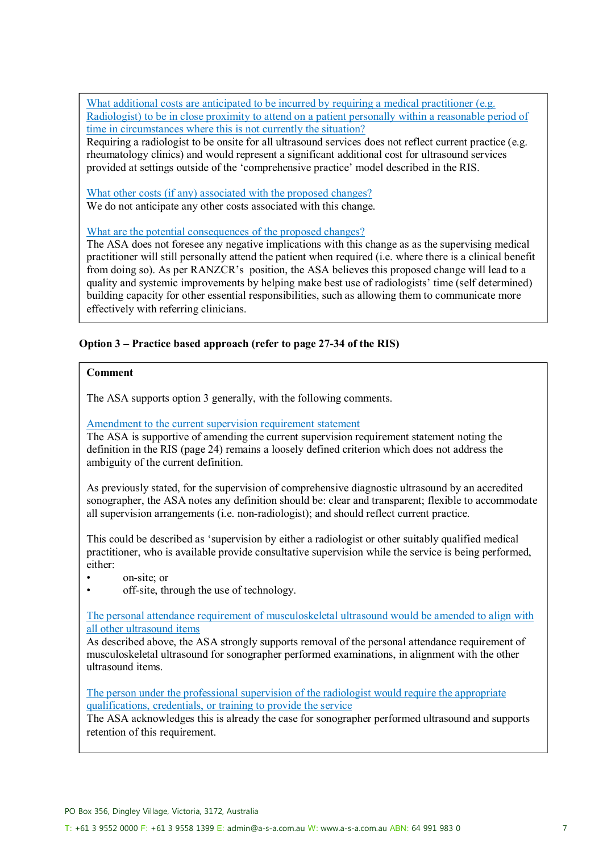What additional costs are anticipated to be incurred by requiring a medical practitioner (e.g. Radiologist) to be in close proximity to attend on a patient personally within a reasonable period of time in circumstances where this is not currently the situation?

Requiring a radiologist to be onsite for all ultrasound services does not reflect current practice (e.g. rheumatology clinics) and would represent a significant additional cost for ultrasound services provided at settings outside of the 'comprehensive practice' model described in the RIS.

What other costs (if any) associated with the proposed changes? We do not anticipate any other costs associated with this change.

What are the potential consequences of the proposed changes?

The ASA does not foresee any negative implications with this change as as the supervising medical practitioner will still personally attend the patient when required (i.e. where there is a clinical benefit from doing so). As per RANZCR's position, the ASA believes this proposed change will lead to a quality and systemic improvements by helping make best use of radiologists' time (self determined) building capacity for other essential responsibilities, such as allowing them to communicate more effectively with referring clinicians.

## **Option 3 – Practice based approach (refer to page 27-34 of the RIS)**

### **Comment**

The ASA supports option 3 generally, with the following comments.

Amendment to the current supervision requirement statement

The ASA is supportive of amending the current supervision requirement statement noting the definition in the RIS (page 24) remains a loosely defined criterion which does not address the ambiguity of the current definition.

As previously stated, for the supervision of comprehensive diagnostic ultrasound by an accredited sonographer, the ASA notes any definition should be: clear and transparent; flexible to accommodate all supervision arrangements (i.e. non-radiologist); and should reflect current practice.

This could be described as 'supervision by either a radiologist or other suitably qualified medical practitioner, who is available provide consultative supervision while the service is being performed, either:

- on-site; or
- off-site, through the use of technology.

The personal attendance requirement of musculoskeletal ultrasound would be amended to align with all other ultrasound items

As described above, the ASA strongly supports removal of the personal attendance requirement of musculoskeletal ultrasound for sonographer performed examinations, in alignment with the other ultrasound items.

The person under the professional supervision of the radiologist would require the appropriate qualifications, credentials, or training to provide the service

The ASA acknowledges this is already the case for sonographer performed ultrasound and supports retention of this requirement.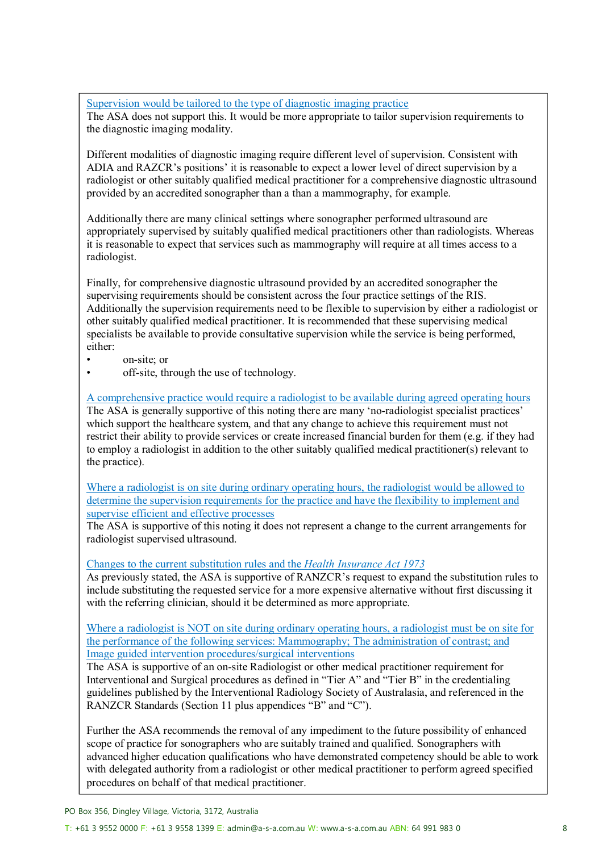Supervision would be tailored to the type of diagnostic imaging practice

The ASA does not support this. It would be more appropriate to tailor supervision requirements to the diagnostic imaging modality.

Different modalities of diagnostic imaging require different level of supervision. Consistent with ADIA and RAZCR's positions' it is reasonable to expect a lower level of direct supervision by a radiologist or other suitably qualified medical practitioner for a comprehensive diagnostic ultrasound provided by an accredited sonographer than a than a mammography, for example.

Additionally there are many clinical settings where sonographer performed ultrasound are appropriately supervised by suitably qualified medical practitioners other than radiologists. Whereas it is reasonable to expect that services such as mammography will require at all times access to a radiologist.

Finally, for comprehensive diagnostic ultrasound provided by an accredited sonographer the supervising requirements should be consistent across the four practice settings of the RIS. Additionally the supervision requirements need to be flexible to supervision by either a radiologist or other suitably qualified medical practitioner. It is recommended that these supervising medical specialists be available to provide consultative supervision while the service is being performed, either:

- on-site; or
- off-site, through the use of technology.

A comprehensive practice would require a radiologist to be available during agreed operating hours The ASA is generally supportive of this noting there are many 'no-radiologist specialist practices' which support the healthcare system, and that any change to achieve this requirement must not restrict their ability to provide services or create increased financial burden for them (e.g. if they had to employ a radiologist in addition to the other suitably qualified medical practitioner(s) relevant to the practice).

Where a radiologist is on site during ordinary operating hours, the radiologist would be allowed to determine the supervision requirements for the practice and have the flexibility to implement and supervise efficient and effective processes

The ASA is supportive of this noting it does not represent a change to the current arrangements for radiologist supervised ultrasound.

Changes to the current substitution rules and the *Health Insurance Act 1973*

As previously stated, the ASA is supportive of RANZCR's request to expand the substitution rules to include substituting the requested service for a more expensive alternative without first discussing it with the referring clinician, should it be determined as more appropriate.

Where a radiologist is NOT on site during ordinary operating hours, a radiologist must be on site for the performance of the following services: Mammography; The administration of contrast; and Image guided intervention procedures/surgical interventions

The ASA is supportive of an on-site Radiologist or other medical practitioner requirement for Interventional and Surgical procedures as defined in "Tier A" and "Tier B" in the credentialing guidelines published by the Interventional Radiology Society of Australasia, and referenced in the RANZCR Standards (Section 11 plus appendices "B" and "C").

Further the ASA recommends the removal of any impediment to the future possibility of enhanced scope of practice for sonographers who are suitably trained and qualified. Sonographers with advanced higher education qualifications who have demonstrated competency should be able to work with delegated authority from a radiologist or other medical practitioner to perform agreed specified procedures on behalf of that medical practitioner.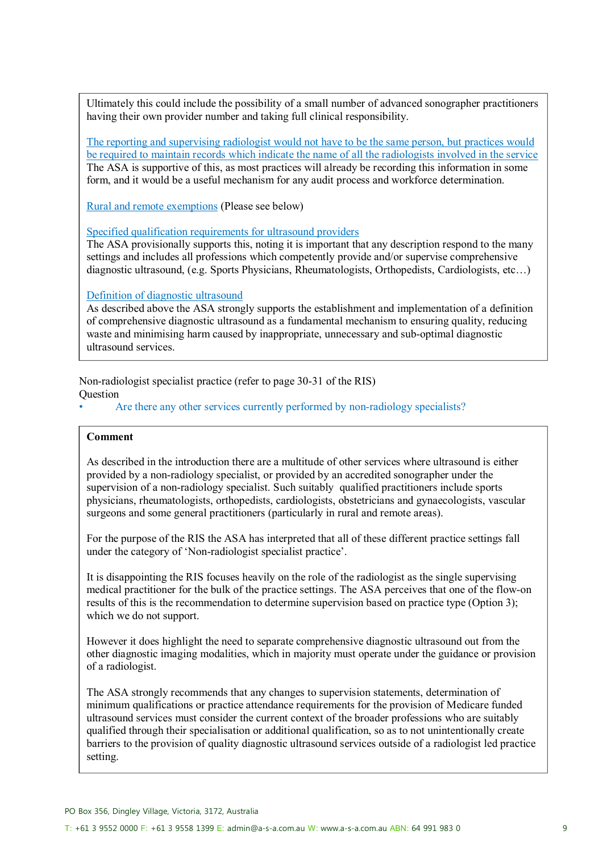Ultimately this could include the possibility of a small number of advanced sonographer practitioners having their own provider number and taking full clinical responsibility.

The reporting and supervising radiologist would not have to be the same person, but practices would be required to maintain records which indicate the name of all the radiologists involved in the service The ASA is supportive of this, as most practices will already be recording this information in some form, and it would be a useful mechanism for any audit process and workforce determination.

Rural and remote exemptions (Please see below)

Specified qualification requirements for ultrasound providers

The ASA provisionally supports this, noting it is important that any description respond to the many settings and includes all professions which competently provide and/or supervise comprehensive diagnostic ultrasound, (e.g. Sports Physicians, Rheumatologists, Orthopedists, Cardiologists, etc…)

Definition of diagnostic ultrasound

As described above the ASA strongly supports the establishment and implementation of a definition of comprehensive diagnostic ultrasound as a fundamental mechanism to ensuring quality, reducing waste and minimising harm caused by inappropriate, unnecessary and sub-optimal diagnostic ultrasound services.

Non-radiologist specialist practice (refer to page 30-31 of the RIS) **Ouestion** 

Are there any other services currently performed by non-radiology specialists?

### **Comment**

As described in the introduction there are a multitude of other services where ultrasound is either provided by a non-radiology specialist, or provided by an accredited sonographer under the supervision of a non-radiology specialist. Such suitably qualified practitioners include sports physicians, rheumatologists, orthopedists, cardiologists, obstetricians and gynaecologists, vascular surgeons and some general practitioners (particularly in rural and remote areas).

For the purpose of the RIS the ASA has interpreted that all of these different practice settings fall under the category of 'Non-radiologist specialist practice'.

It is disappointing the RIS focuses heavily on the role of the radiologist as the single supervising medical practitioner for the bulk of the practice settings. The ASA perceives that one of the flow-on results of this is the recommendation to determine supervision based on practice type (Option 3); which we do not support.

However it does highlight the need to separate comprehensive diagnostic ultrasound out from the other diagnostic imaging modalities, which in majority must operate under the guidance or provision of a radiologist.

The ASA strongly recommends that any changes to supervision statements, determination of minimum qualifications or practice attendance requirements for the provision of Medicare funded ultrasound services must consider the current context of the broader professions who are suitably qualified through their specialisation or additional qualification, so as to not unintentionally create barriers to the provision of quality diagnostic ultrasound services outside of a radiologist led practice setting.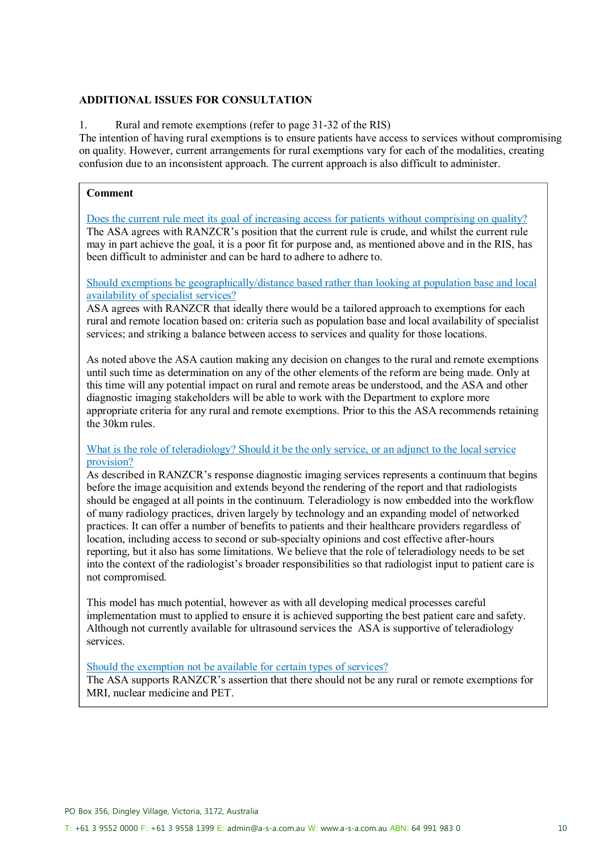## **ADDITIONAL ISSUES FOR CONSULTATION**

1. Rural and remote exemptions (refer to page 31-32 of the RIS)

The intention of having rural exemptions is to ensure patients have access to services without compromising on quality. However, current arrangements for rural exemptions vary for each of the modalities, creating confusion due to an inconsistent approach. The current approach is also difficult to administer.

### **Comment**

Does the current rule meet its goal of increasing access for patients without comprising on quality? The ASA agrees with RANZCR's position that the current rule is crude, and whilst the current rule may in part achieve the goal, it is a poor fit for purpose and, as mentioned above and in the RIS, has been difficult to administer and can be hard to adhere to adhere to.

Should exemptions be geographically/distance based rather than looking at population base and local availability of specialist services?

ASA agrees with RANZCR that ideally there would be a tailored approach to exemptions for each rural and remote location based on: criteria such as population base and local availability of specialist services; and striking a balance between access to services and quality for those locations.

As noted above the ASA caution making any decision on changes to the rural and remote exemptions until such time as determination on any of the other elements of the reform are being made. Only at this time will any potential impact on rural and remote areas be understood, and the ASA and other diagnostic imaging stakeholders will be able to work with the Department to explore more appropriate criteria for any rural and remote exemptions. Prior to this the ASA recommends retaining the 30km rules.

#### What is the role of teleradiology? Should it be the only service, or an adjunct to the local service provision?

As described in RANZCR's response diagnostic imaging services represents a continuum that begins before the image acquisition and extends beyond the rendering of the report and that radiologists should be engaged at all points in the continuum. Teleradiology is now embedded into the workflow of many radiology practices, driven largely by technology and an expanding model of networked practices. It can offer a number of benefits to patients and their healthcare providers regardless of location, including access to second or sub-specialty opinions and cost effective after-hours reporting, but it also has some limitations. We believe that the role of teleradiology needs to be set into the context of the radiologist's broader responsibilities so that radiologist input to patient care is not compromised.

This model has much potential, however as with all developing medical processes careful implementation must to applied to ensure it is achieved supporting the best patient care and safety. Although not currently available for ultrasound services the ASA is supportive of teleradiology services.

#### Should the exemption not be available for certain types of services?

The ASA supports RANZCR's assertion that there should not be any rural or remote exemptions for MRI, nuclear medicine and PET.